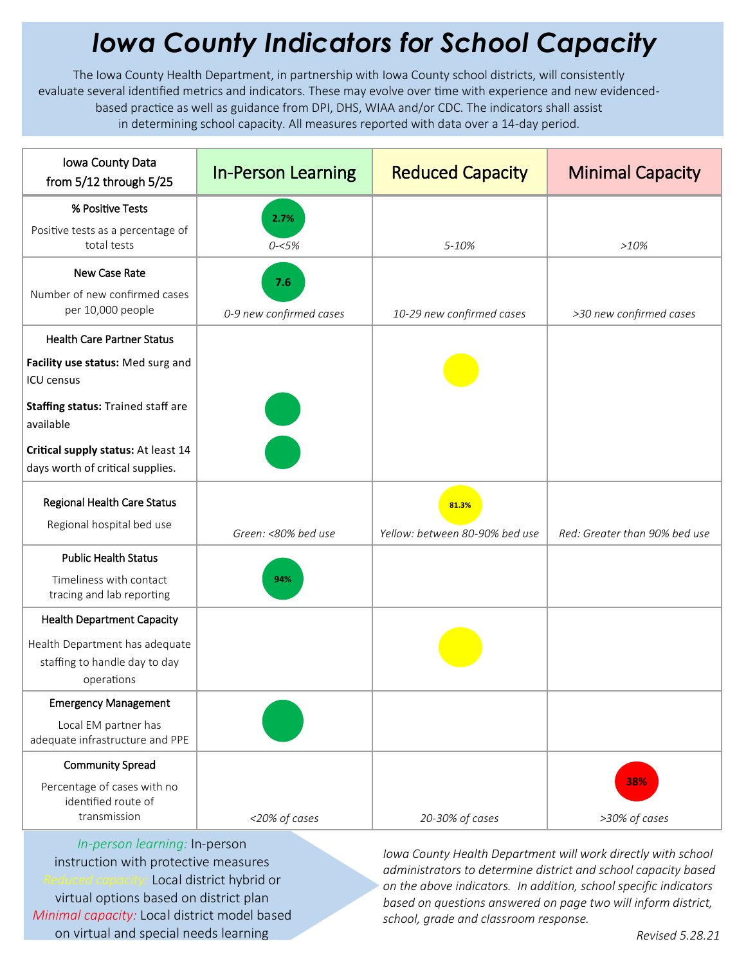## *Iowa County Indicators for School Capacity*

The Iowa County Health Department, in partnership with Iowa County school districts, will consistently evaluate several identified metrics and indicators. These may evolve over time with experience and new evidencedbased practice as well as guidance from DPI, DHS, WIAA and/or CDC. The indicators shall assist in determining school capacity. All measures reported with data over a 14-day period.

| Iowa County Data<br>from 5/12 through 5/25                                    | <b>In-Person Learning</b> | <b>Reduced Capacity</b>        | <b>Minimal Capacity</b>       |
|-------------------------------------------------------------------------------|---------------------------|--------------------------------|-------------------------------|
| % Positive Tests                                                              | 2.7%                      |                                |                               |
| Positive tests as a percentage of<br>total tests                              | $0 - 5%$                  | 5-10%                          | >10%                          |
| New Case Rate                                                                 | 7.6                       |                                |                               |
| Number of new confirmed cases<br>per 10,000 people                            | 0-9 new confirmed cases   | 10-29 new confirmed cases      | >30 new confirmed cases       |
| <b>Health Care Partner Status</b>                                             |                           |                                |                               |
| Facility use status: Med surg and<br>ICU census                               |                           |                                |                               |
| Staffing status: Trained staff are<br>available                               |                           |                                |                               |
| Critical supply status: At least 14<br>days worth of critical supplies.       |                           |                                |                               |
| <b>Regional Health Care Status</b>                                            |                           | 81.3%                          |                               |
| Regional hospital bed use                                                     | Green: <80% bed use       | Yellow: between 80-90% bed use | Red: Greater than 90% bed use |
| <b>Public Health Status</b>                                                   |                           |                                |                               |
| Timeliness with contact<br>tracing and lab reporting                          | 94%                       |                                |                               |
| <b>Health Department Capacity</b>                                             |                           |                                |                               |
| Health Department has adequate<br>staffing to handle day to day<br>operations |                           |                                |                               |
| <b>Emergency Management</b>                                                   |                           |                                |                               |
| Local EM partner has<br>adequate infrastructure and PPE                       |                           |                                |                               |
| <b>Community Spread</b>                                                       |                           |                                |                               |
| Percentage of cases with no<br>identified route of                            |                           |                                | 38%                           |
| transmission                                                                  | <20% of cases             | 20-30% of cases                | >30% of cases                 |

*In-person learning:* In-person instruction with protective measures *Reduced capacity:* Local district hybrid or virtual options based on district plan *Minimal capacity:* Local district model based on virtual and special needs learning

*Iowa County Health Department will work directly with school administrators to determine district and school capacity based on the above indicators. In addition, school specific indicators based on questions answered on page two will inform district, school, grade and classroom response.*